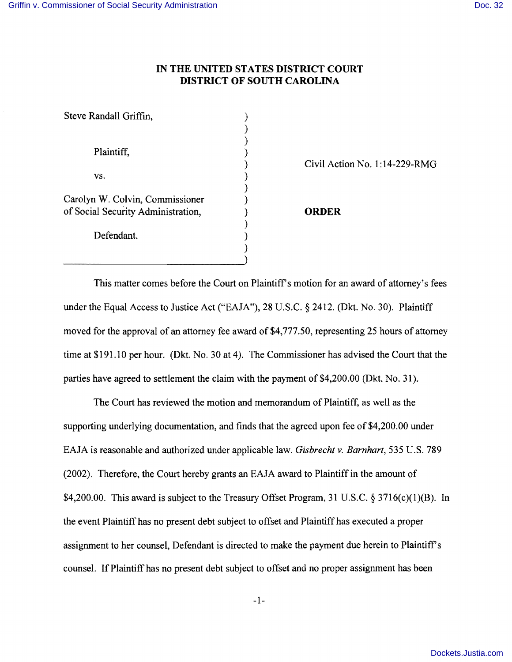## **IN THE UNITED STATES DISTRICT COURT DISTRICT OF SOUTH CAROLINA**

) )

)

)

) )

Steve Randall Griffin, )

Plaintiff,  $\qquad \qquad$ )

 $\mathsf{vs.}$  )

Carolyn W. Colvin, Commissioner ) of Social Security Administration, ) **ORDER** 

Defendant.

) Civil Action No. 1:14-229-RMG

This matter comes before the Court on Plaintiff's motion for an award of attorney's fees under the Equal Access to Justice Act ("EAJA"), 28 U.S.C. § 2412. (Dkt. No. 30). Plaintiff moved for the approval of an attorney fee award of \$4,777.50, representing 25 hours of attorney time at \$191.10 per hour. (Dkt. No. 30 at 4). The Commissioner has advised the Court that the parties have agreed to settlement the claim with the payment of \$4,200.00 (Dkt. No. 31).

The Court has reviewed the motion and memorandum of Plaintiff, as well as the supporting underlying documentation, and finds that the agreed upon fee of \$4,200.00 under EAJA is reasonable and authorized under applicable law. *Gisbrecht v. Barnhart,* 535 U.S. 789 (2002). Therefore, the Court hereby grants an EAJA award to Plaintiff in the amount of \$4,200.00. This award is subject to the Treasury Offset Program, 31 U.S.C.  $\S 3716(c)(1)(B)$ . In the event Plaintiff has no present debt subject to offset and Plaintiff has executed a proper assignment to her counsel, Defendant is directed to make the payment due herein to Plaintiff s counsel. If Plaintiff has no present debt subject to offset and no proper assignment has been